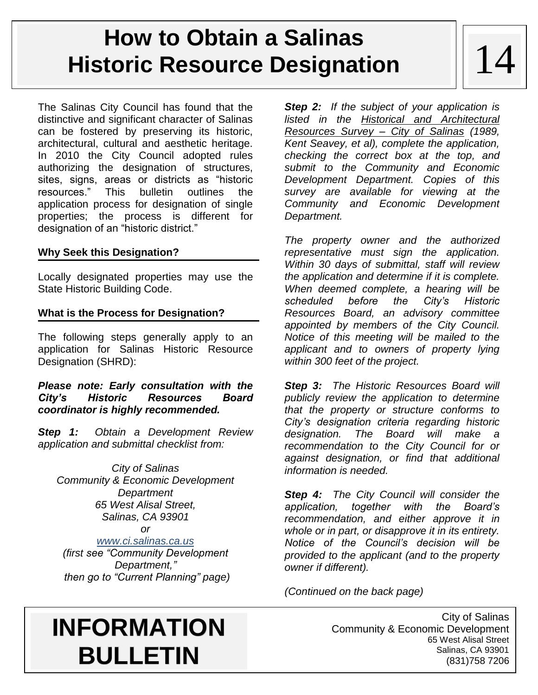# **How to Obtain a Salinas Historic Resource Designation**

The Salinas City Council has found that the distinctive and significant character of Salinas can be fostered by preserving its historic, architectural, cultural and aesthetic heritage. In 2010 the City Council adopted rules authorizing the designation of structures, sites, signs, areas or districts as "historic resources." This bulletin outlines the application process for designation of single properties; the process is different for designation of an "historic district."

### **Why Seek this Designation?**

Locally designated properties may use the State Historic Building Code.

## **What is the Process for Designation?**

The following steps generally apply to an application for Salinas Historic Resource Designation (SHRD):

### *Please note: Early consultation with the City's Historic Resources Board coordinator is highly recommended.*

*Step 1: Obtain a Development Review application and submittal checklist from:*

*City of Salinas Community & Economic Development Department 65 West Alisal Street, Salinas, CA 93901 or [www.ci.salinas.ca.us](http://www.ci.salinas.ca.us/)*

*(first see "Community Development Department," then go to "Current Planning" page)* *Step 2: If the subject of your application is listed in the Historical and Architectural Resources Survey – City of Salinas (1989, Kent Seavey, et al), complete the application, checking the correct box at the top, and submit to the Community and Economic Development Department. Copies of this survey are available for viewing at the Community and Economic Development Department.*

*The property owner and the authorized representative must sign the application. Within 30 days of submittal, staff will review the application and determine if it is complete. When deemed complete, a hearing will be scheduled before the City's Historic Resources Board, an advisory committee appointed by members of the City Council. Notice of this meeting will be mailed to the applicant and to owners of property lying within 300 feet of the project.*

*Step 3: The Historic Resources Board will publicly review the application to determine that the property or structure conforms to City's designation criteria regarding historic designation. The Board will make a recommendation to the City Council for or against designation, or find that additional information is needed.*

*Step 4: The City Council will consider the application, together with the Board's recommendation, and either approve it in whole or in part, or disapprove it in its entirety. Notice of the Council's decision will be provided to the applicant (and to the property owner if different).*

*(Continued on the back page)*

# **INFORMATION BULLETIN**

City of Salinas Community & Economic Development 65 West Alisal Street Salinas, CA 93901 (831)758 7206